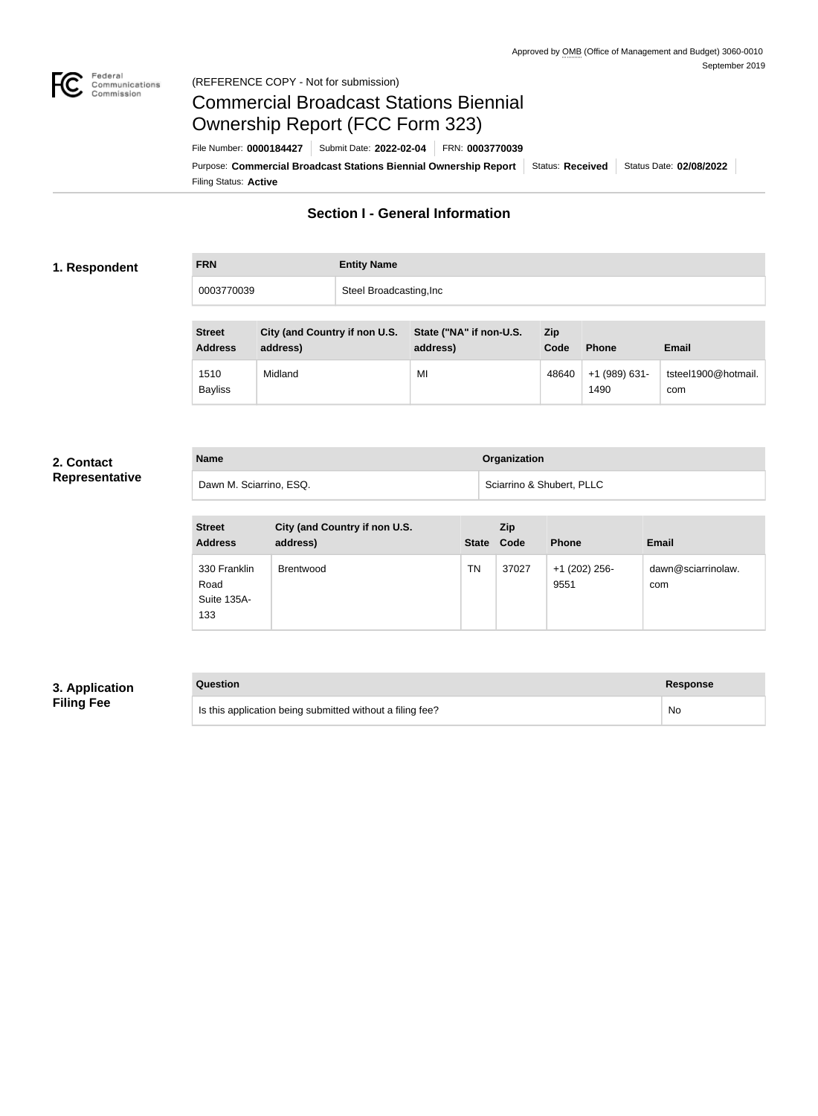

#### Federal<br>Communications<br>Commission (REFERENCE COPY - Not for submission)

# Commercial Broadcast Stations Biennial Ownership Report (FCC Form 323)

Filing Status: **Active** Purpose: Commercial Broadcast Stations Biennial Ownership Report Status: Received Status Date: 02/08/2022 File Number: **0000184427** Submit Date: **2022-02-04** FRN: **0003770039**

# **Section I - General Information**

#### **1. Respondent**

| <b>FRN</b> | <b>Entity Name</b>      |
|------------|-------------------------|
| 0003770039 | Steel Broadcasting, Inc |

| <b>Street</b><br><b>Address</b> | City (and Country if non U.S.<br>address) | State ("NA" if non-U.S.<br>address) | <b>Zip</b><br>Code | <b>Phone</b>          | <b>Email</b>               |
|---------------------------------|-------------------------------------------|-------------------------------------|--------------------|-----------------------|----------------------------|
| 1510<br><b>Bayliss</b>          | Midland                                   | MI                                  | 48640              | +1 (989) 631-<br>1490 | tsteel1900@hotmail.<br>com |

#### **2. Contact Representative**

| <b>Name</b>             | Organization              |
|-------------------------|---------------------------|
| Dawn M. Sciarrino, ESQ. | Sciarrino & Shubert, PLLC |

| <b>Street</b><br><b>Address</b>            | City (and Country if non U.S.<br>address) | <b>State</b> | Zip<br>Code | <b>Phone</b>          | <b>Email</b>              |
|--------------------------------------------|-------------------------------------------|--------------|-------------|-----------------------|---------------------------|
| 330 Franklin<br>Road<br>Suite 135A-<br>133 | <b>Brentwood</b>                          | TN           | 37027       | +1 (202) 256-<br>9551 | dawn@sciarrinolaw.<br>com |

## **3. Application Filing Fee**

# **Question Response** Is this application being submitted without a filing fee? No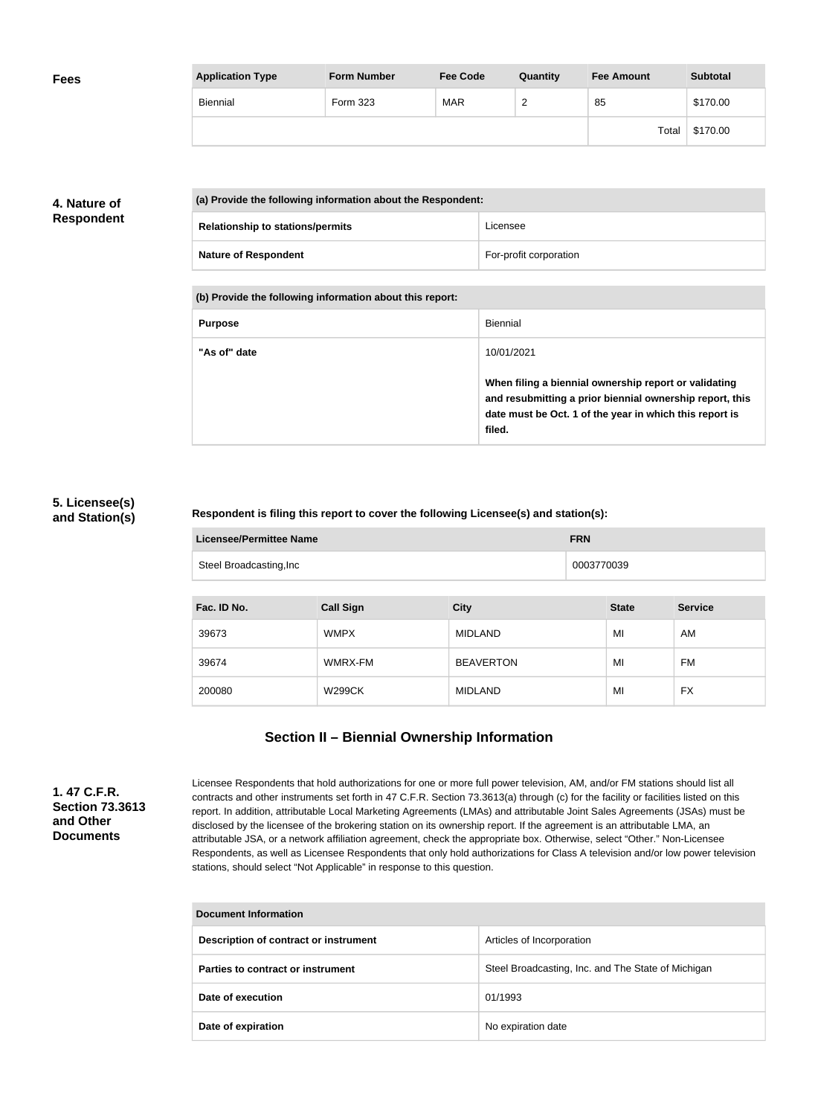| <b>Fees</b> | <b>Application Type</b> | <b>Form Number</b> | <b>Fee Code</b> | Quantity | <b>Fee Amount</b> | <b>Subtotal</b> |
|-------------|-------------------------|--------------------|-----------------|----------|-------------------|-----------------|
|             | Biennial                | Form 323           | MAR             | <u>_</u> | 85                | \$170.00        |
|             |                         |                    |                 |          | Total             | \$170.00        |

## **4. Nature of Respondent**

| (a) Provide the following information about the Respondent: |                        |  |
|-------------------------------------------------------------|------------------------|--|
| <b>Relationship to stations/permits</b>                     | Licensee               |  |
| <b>Nature of Respondent</b>                                 | For-profit corporation |  |

**(b) Provide the following information about this report:**

| <b>Purpose</b> | Biennial                                                                                                                                                                               |
|----------------|----------------------------------------------------------------------------------------------------------------------------------------------------------------------------------------|
| "As of" date   | 10/01/2021                                                                                                                                                                             |
|                | When filing a biennial ownership report or validating<br>and resubmitting a prior biennial ownership report, this<br>date must be Oct. 1 of the year in which this report is<br>filed. |

#### **5. Licensee(s) and Station(s)**

#### **Respondent is filing this report to cover the following Licensee(s) and station(s):**

| Licensee/Permittee Name | <b>FRN</b> |
|-------------------------|------------|
| Steel Broadcasting, Inc | 0003770039 |

| Fac. ID No. | <b>Call Sign</b> | <b>City</b>      | <b>State</b> | <b>Service</b> |
|-------------|------------------|------------------|--------------|----------------|
| 39673       | <b>WMPX</b>      | <b>MIDLAND</b>   | MI           | AM             |
| 39674       | WMRX-FM          | <b>BEAVERTON</b> | MI           | <b>FM</b>      |
| 200080      | <b>W299CK</b>    | <b>MIDLAND</b>   | MI           | FX             |

# **Section II – Biennial Ownership Information**

**1. 47 C.F.R. Section 73.3613 and Other Documents**

Licensee Respondents that hold authorizations for one or more full power television, AM, and/or FM stations should list all contracts and other instruments set forth in 47 C.F.R. Section 73.3613(a) through (c) for the facility or facilities listed on this report. In addition, attributable Local Marketing Agreements (LMAs) and attributable Joint Sales Agreements (JSAs) must be disclosed by the licensee of the brokering station on its ownership report. If the agreement is an attributable LMA, an attributable JSA, or a network affiliation agreement, check the appropriate box. Otherwise, select "Other." Non-Licensee Respondents, as well as Licensee Respondents that only hold authorizations for Class A television and/or low power television stations, should select "Not Applicable" in response to this question.

| Document Information                  |                                                    |  |  |
|---------------------------------------|----------------------------------------------------|--|--|
| Description of contract or instrument | Articles of Incorporation                          |  |  |
| Parties to contract or instrument     | Steel Broadcasting, Inc. and The State of Michigan |  |  |
| Date of execution                     | 01/1993                                            |  |  |
| Date of expiration                    | No expiration date                                 |  |  |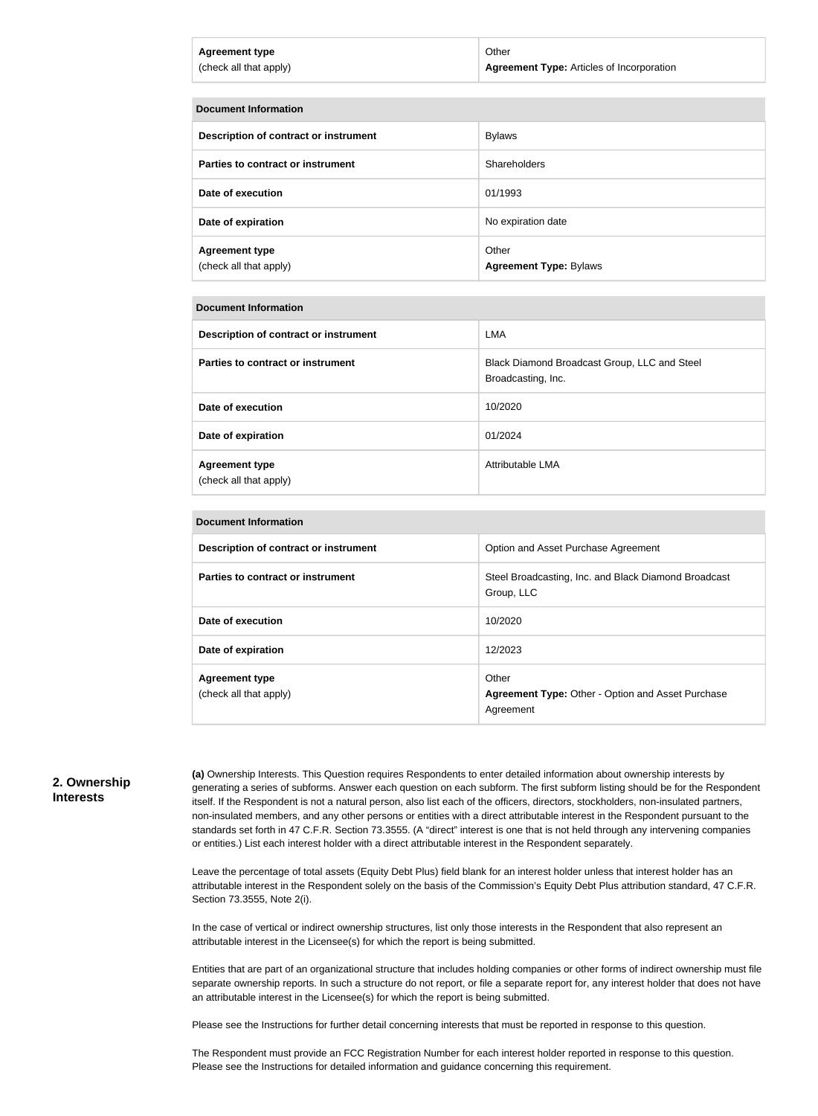| Agreement type         | Other                                            |
|------------------------|--------------------------------------------------|
| (check all that apply) | <b>Agreement Type: Articles of Incorporation</b> |
|                        |                                                  |

| <b>Document Information</b>                     |                                        |  |
|-------------------------------------------------|----------------------------------------|--|
| Description of contract or instrument           | <b>Bylaws</b>                          |  |
| Parties to contract or instrument               | Shareholders                           |  |
| Date of execution                               | 01/1993                                |  |
| Date of expiration                              | No expiration date                     |  |
| <b>Agreement type</b><br>(check all that apply) | Other<br><b>Agreement Type: Bylaws</b> |  |

#### **Document Information**

| Description of contract or instrument           | LMA                                                                |
|-------------------------------------------------|--------------------------------------------------------------------|
| Parties to contract or instrument               | Black Diamond Broadcast Group, LLC and Steel<br>Broadcasting, Inc. |
| Date of execution                               | 10/2020                                                            |
| Date of expiration                              | 01/2024                                                            |
| <b>Agreement type</b><br>(check all that apply) | Attributable LMA                                                   |

| <b>Document Information</b>                     |                                                                                |  |
|-------------------------------------------------|--------------------------------------------------------------------------------|--|
| Description of contract or instrument           | Option and Asset Purchase Agreement                                            |  |
| Parties to contract or instrument               | Steel Broadcasting, Inc. and Black Diamond Broadcast<br>Group, LLC             |  |
| Date of execution                               | 10/2020                                                                        |  |
| Date of expiration                              | 12/2023                                                                        |  |
| <b>Agreement type</b><br>(check all that apply) | Other<br><b>Agreement Type: Other - Option and Asset Purchase</b><br>Agreement |  |

#### **2. Ownership Interests**

**(a)** Ownership Interests. This Question requires Respondents to enter detailed information about ownership interests by generating a series of subforms. Answer each question on each subform. The first subform listing should be for the Respondent itself. If the Respondent is not a natural person, also list each of the officers, directors, stockholders, non-insulated partners, non-insulated members, and any other persons or entities with a direct attributable interest in the Respondent pursuant to the standards set forth in 47 C.F.R. Section 73.3555. (A "direct" interest is one that is not held through any intervening companies or entities.) List each interest holder with a direct attributable interest in the Respondent separately.

Leave the percentage of total assets (Equity Debt Plus) field blank for an interest holder unless that interest holder has an attributable interest in the Respondent solely on the basis of the Commission's Equity Debt Plus attribution standard, 47 C.F.R. Section 73.3555, Note 2(i).

In the case of vertical or indirect ownership structures, list only those interests in the Respondent that also represent an attributable interest in the Licensee(s) for which the report is being submitted.

Entities that are part of an organizational structure that includes holding companies or other forms of indirect ownership must file separate ownership reports. In such a structure do not report, or file a separate report for, any interest holder that does not have an attributable interest in the Licensee(s) for which the report is being submitted.

Please see the Instructions for further detail concerning interests that must be reported in response to this question.

The Respondent must provide an FCC Registration Number for each interest holder reported in response to this question. Please see the Instructions for detailed information and guidance concerning this requirement.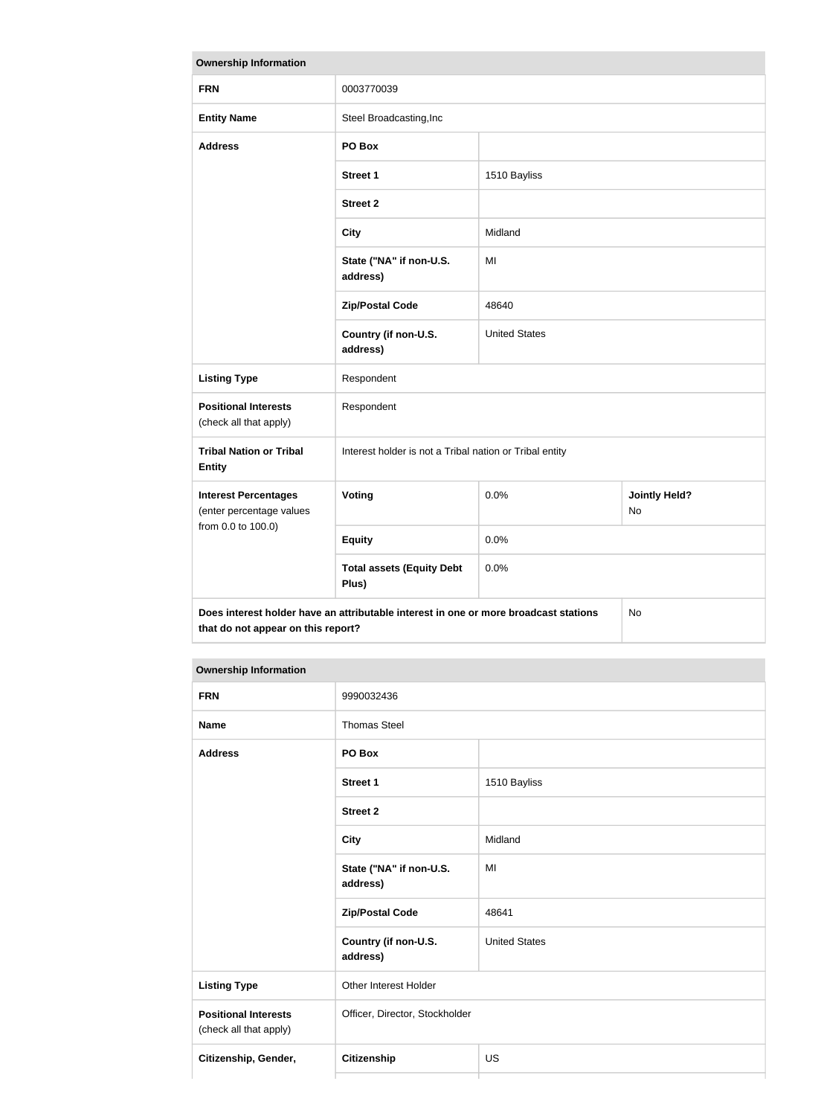| <b>Ownership Information</b>                                                                                                     |                                                         |                      |                            |
|----------------------------------------------------------------------------------------------------------------------------------|---------------------------------------------------------|----------------------|----------------------------|
| <b>FRN</b>                                                                                                                       | 0003770039                                              |                      |                            |
| <b>Entity Name</b>                                                                                                               | Steel Broadcasting, Inc                                 |                      |                            |
| <b>Address</b>                                                                                                                   | PO Box                                                  |                      |                            |
|                                                                                                                                  | <b>Street 1</b>                                         | 1510 Bayliss         |                            |
|                                                                                                                                  | <b>Street 2</b>                                         |                      |                            |
|                                                                                                                                  | <b>City</b>                                             | Midland              |                            |
|                                                                                                                                  | State ("NA" if non-U.S.<br>address)                     | MI                   |                            |
|                                                                                                                                  | <b>Zip/Postal Code</b>                                  | 48640                |                            |
|                                                                                                                                  | Country (if non-U.S.<br>address)                        | <b>United States</b> |                            |
| <b>Listing Type</b>                                                                                                              | Respondent                                              |                      |                            |
| <b>Positional Interests</b><br>(check all that apply)                                                                            | Respondent                                              |                      |                            |
| <b>Tribal Nation or Tribal</b><br><b>Entity</b>                                                                                  | Interest holder is not a Tribal nation or Tribal entity |                      |                            |
| <b>Interest Percentages</b><br>(enter percentage values<br>from 0.0 to 100.0)                                                    | Voting                                                  | 0.0%                 | <b>Jointly Held?</b><br>No |
|                                                                                                                                  | <b>Equity</b>                                           | 0.0%                 |                            |
|                                                                                                                                  | <b>Total assets (Equity Debt</b><br>Plus)               | 0.0%                 |                            |
| Does interest holder have an attributable interest in one or more broadcast stations<br>No<br>that do not appear on this report? |                                                         |                      |                            |

# **Ownership Information**

| <b>FRN</b>                                            | 9990032436                          |                      |
|-------------------------------------------------------|-------------------------------------|----------------------|
| <b>Name</b>                                           | <b>Thomas Steel</b>                 |                      |
| <b>Address</b>                                        | PO Box                              |                      |
|                                                       | <b>Street 1</b>                     | 1510 Bayliss         |
|                                                       | <b>Street 2</b>                     |                      |
|                                                       | <b>City</b>                         | Midland              |
|                                                       | State ("NA" if non-U.S.<br>address) | MI                   |
|                                                       | <b>Zip/Postal Code</b>              | 48641                |
|                                                       | Country (if non-U.S.<br>address)    | <b>United States</b> |
| <b>Listing Type</b>                                   | Other Interest Holder               |                      |
| <b>Positional Interests</b><br>(check all that apply) | Officer, Director, Stockholder      |                      |
| Citizenship, Gender,                                  | <b>Citizenship</b>                  | US                   |
|                                                       |                                     |                      |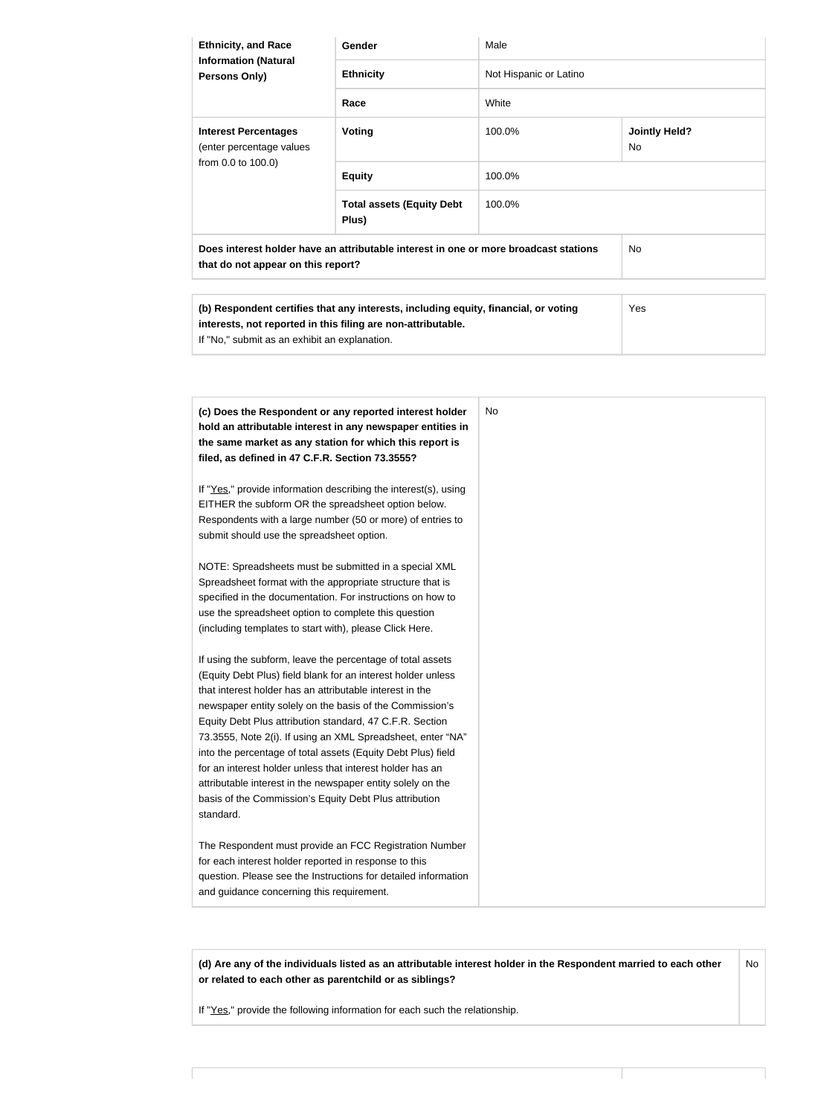| <b>Ethnicity, and Race</b><br><b>Information (Natural</b><br>Persons Only)                                                 | Gender                                                                              | Male                   |                                   |
|----------------------------------------------------------------------------------------------------------------------------|-------------------------------------------------------------------------------------|------------------------|-----------------------------------|
|                                                                                                                            | <b>Ethnicity</b>                                                                    | Not Hispanic or Latino |                                   |
|                                                                                                                            | Race                                                                                | White                  |                                   |
| <b>Interest Percentages</b><br>(enter percentage values<br>from 0.0 to 100.0)                                              | <b>Voting</b>                                                                       | 100.0%                 | <b>Jointly Held?</b><br><b>No</b> |
|                                                                                                                            | <b>Equity</b>                                                                       | 100.0%                 |                                   |
|                                                                                                                            | <b>Total assets (Equity Debt</b><br>Plus)                                           | 100.0%                 |                                   |
| Does interest holder have an attributable interest in one or more broadcast stations<br>that do not appear on this report? |                                                                                     | <b>No</b>              |                                   |
| interests, not reported in this filing are non-attributable.<br>If "No," submit as an exhibit an explanation.              | (b) Respondent certifies that any interests, including equity, financial, or voting |                        | <b>Yes</b>                        |
|                                                                                                                            |                                                                                     |                        |                                   |

| (c) Does the Respondent or any reported interest holder<br>hold an attributable interest in any newspaper entities in<br>the same market as any station for which this report is<br>filed, as defined in 47 C.F.R. Section 73.3555?                                                                                                                                                                                                                                                                                                                                                                                                              | No |
|--------------------------------------------------------------------------------------------------------------------------------------------------------------------------------------------------------------------------------------------------------------------------------------------------------------------------------------------------------------------------------------------------------------------------------------------------------------------------------------------------------------------------------------------------------------------------------------------------------------------------------------------------|----|
| If "Yes," provide information describing the interest(s), using<br>EITHER the subform OR the spreadsheet option below.<br>Respondents with a large number (50 or more) of entries to<br>submit should use the spreadsheet option.                                                                                                                                                                                                                                                                                                                                                                                                                |    |
| NOTE: Spreadsheets must be submitted in a special XML<br>Spreadsheet format with the appropriate structure that is<br>specified in the documentation. For instructions on how to<br>use the spreadsheet option to complete this question<br>(including templates to start with), please Click Here.                                                                                                                                                                                                                                                                                                                                              |    |
| If using the subform, leave the percentage of total assets<br>(Equity Debt Plus) field blank for an interest holder unless<br>that interest holder has an attributable interest in the<br>newspaper entity solely on the basis of the Commission's<br>Equity Debt Plus attribution standard, 47 C.F.R. Section<br>73.3555, Note 2(i). If using an XML Spreadsheet, enter "NA"<br>into the percentage of total assets (Equity Debt Plus) field<br>for an interest holder unless that interest holder has an<br>attributable interest in the newspaper entity solely on the<br>basis of the Commission's Equity Debt Plus attribution<br>standard. |    |
| The Respondent must provide an FCC Registration Number<br>for each interest holder reported in response to this<br>question. Please see the Instructions for detailed information<br>and guidance concerning this requirement.                                                                                                                                                                                                                                                                                                                                                                                                                   |    |

**(d) Are any of the individuals listed as an attributable interest holder in the Respondent married to each other or related to each other as parentchild or as siblings?** No

If "Yes," provide the following information for each such the relationship.